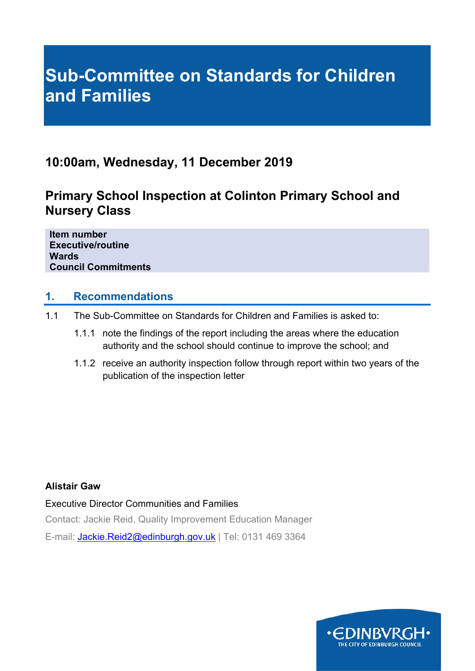# **Sub-Committee on Standards for Children and Families**

# **10:00am, Wednesday, 11 December 2019**

# **Primary School Inspection at Colinton Primary School and Nursery Class**

**Item number Executive/routine Wards Council Commitments** 

### **1. Recommendations**

- 1.1 The Sub-Committee on Standards for Children and Families is asked to:
	- 1.1.1 note the findings of the report including the areas where the education authority and the school should continue to improve the school; and
	- 1.1.2 receive an authority inspection follow through report within two years of the publication of the inspection letter

### **Alistair Gaw**

Executive Director Communities and Families

Contact: Jackie Reid, Quality Improvement Education Manager

E-mail: Jackie.Reid2@edinburgh.gov.uk | Tel: 0131 469 3364

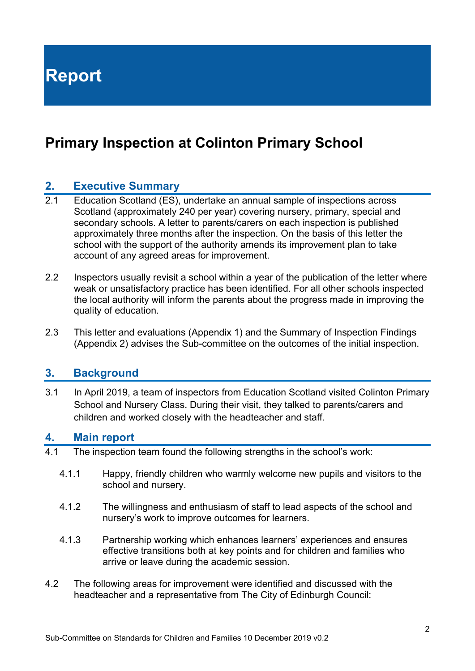**Report** 

# **Primary Inspection at Colinton Primary School**

### **2. Executive Summary**

- 2.1 Education Scotland (ES), undertake an annual sample of inspections across Scotland (approximately 240 per year) covering nursery, primary, special and secondary schools. A letter to parents/carers on each inspection is published approximately three months after the inspection. On the basis of this letter the school with the support of the authority amends its improvement plan to take account of any agreed areas for improvement.
- 2.2 Inspectors usually revisit a school within a year of the publication of the letter where weak or unsatisfactory practice has been identified. For all other schools inspected the local authority will inform the parents about the progress made in improving the quality of education.
- 2.3 This letter and evaluations (Appendix 1) and the Summary of Inspection Findings (Appendix 2) advises the Sub-committee on the outcomes of the initial inspection.

### **3. Background**

3.1 In April 2019, a team of inspectors from Education Scotland visited Colinton Primary School and Nursery Class. During their visit, they talked to parents/carers and children and worked closely with the headteacher and staff.

#### **4. Main report**

- 4.1 The inspection team found the following strengths in the school's work:
	- 4.1.1 Happy, friendly children who warmly welcome new pupils and visitors to the school and nursery.
	- 4.1.2 The willingness and enthusiasm of staff to lead aspects of the school and nursery's work to improve outcomes for learners.
	- 4.1.3 Partnership working which enhances learners' experiences and ensures effective transitions both at key points and for children and families who arrive or leave during the academic session.
- 4.2 The following areas for improvement were identified and discussed with the headteacher and a representative from The City of Edinburgh Council: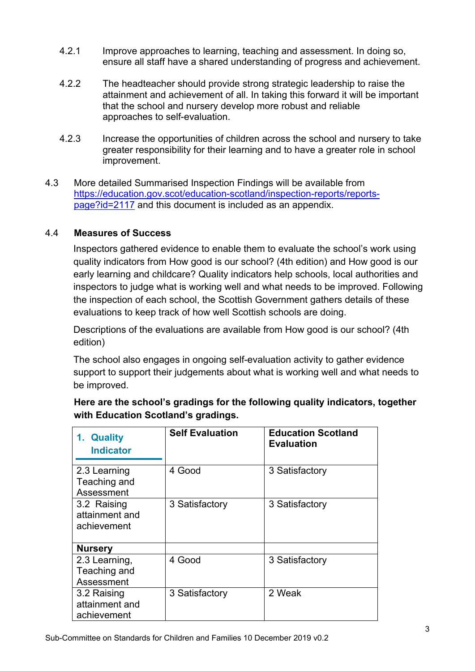- 4.2.1 Improve approaches to learning, teaching and assessment. In doing so, ensure all staff have a shared understanding of progress and achievement.
- 4.2.2 The headteacher should provide strong strategic leadership to raise the attainment and achievement of all. In taking this forward it will be important that the school and nursery develop more robust and reliable approaches to self-evaluation.
- 4.2.3 Increase the opportunities of children across the school and nursery to take greater responsibility for their learning and to have a greater role in school improvement.
- 4.3 More detailed Summarised Inspection Findings will be available from https://education.gov.scot/education-scotland/inspection-reports/reports page?id=2117 and this document is included as an appendix.

### 4.4 **Measures of Success**

Inspectors gathered evidence to enable them to evaluate the school's work using quality indicators from How good is our school? (4th edition) and How good is our early learning and childcare? Quality indicators help schools, local authorities and inspectors to judge what is working well and what needs to be improved. Following the inspection of each school, the Scottish Government gathers details of these evaluations to keep track of how well Scottish schools are doing.

Descriptions of the evaluations are available from How good is our school? (4th edition)

The school also engages in ongoing self-evaluation activity to gather evidence support to support their judgements about what is working well and what needs to be improved.

| <b>Quality</b><br>1.<br><b>Indicator</b>     | <b>Self Evaluation</b> | <b>Education Scotland</b><br><b>Evaluation</b> |
|----------------------------------------------|------------------------|------------------------------------------------|
| 2.3 Learning<br>Teaching and<br>Assessment   | 4 Good                 | 3 Satisfactory                                 |
| 3.2 Raising<br>attainment and<br>achievement | 3 Satisfactory         | 3 Satisfactory                                 |
| <b>Nursery</b>                               |                        |                                                |
| 2.3 Learning,<br>Teaching and<br>Assessment  | 4 Good                 | 3 Satisfactory                                 |
| 3.2 Raising<br>attainment and<br>achievement | 3 Satisfactory         | 2 Weak                                         |

**Here are the school's gradings for the following quality indicators, together with Education Scotland's gradings.**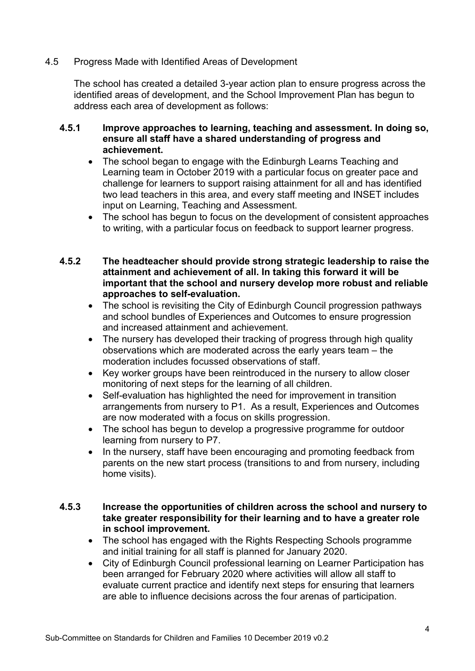#### 4.5 Progress Made with Identified Areas of Development

 The school has created a detailed 3-year action plan to ensure progress across the identified areas of development, and the School Improvement Plan has begun to address each area of development as follows:

#### **4.5.1 Improve approaches to learning, teaching and assessment. In doing so, ensure all staff have a shared understanding of progress and achievement.**

- The school began to engage with the Edinburgh Learns Teaching and Learning team in October 2019 with a particular focus on greater pace and challenge for learners to support raising attainment for all and has identified two lead teachers in this area, and every staff meeting and INSET includes input on Learning, Teaching and Assessment.
- The school has begun to focus on the development of consistent approaches to writing, with a particular focus on feedback to support learner progress.
- **4.5.2 The headteacher should provide strong strategic leadership to raise the attainment and achievement of all. In taking this forward it will be important that the school and nursery develop more robust and reliable approaches to self-evaluation.** 
	- The school is revisiting the City of Edinburgh Council progression pathways and school bundles of Experiences and Outcomes to ensure progression and increased attainment and achievement.
	- The nursery has developed their tracking of progress through high quality observations which are moderated across the early years team – the moderation includes focussed observations of staff.
	- Key worker groups have been reintroduced in the nursery to allow closer monitoring of next steps for the learning of all children.
	- Self-evaluation has highlighted the need for improvement in transition arrangements from nursery to P1. As a result, Experiences and Outcomes are now moderated with a focus on skills progression.
	- The school has begun to develop a progressive programme for outdoor learning from nursery to P7.
	- In the nursery, staff have been encouraging and promoting feedback from parents on the new start process (transitions to and from nursery, including home visits).
- **4.5.3 Increase the opportunities of children across the school and nursery to take greater responsibility for their learning and to have a greater role in school improvement.** 
	- The school has engaged with the Rights Respecting Schools programme and initial training for all staff is planned for January 2020.
	- City of Edinburgh Council professional learning on Learner Participation has been arranged for February 2020 where activities will allow all staff to evaluate current practice and identify next steps for ensuring that learners are able to influence decisions across the four arenas of participation.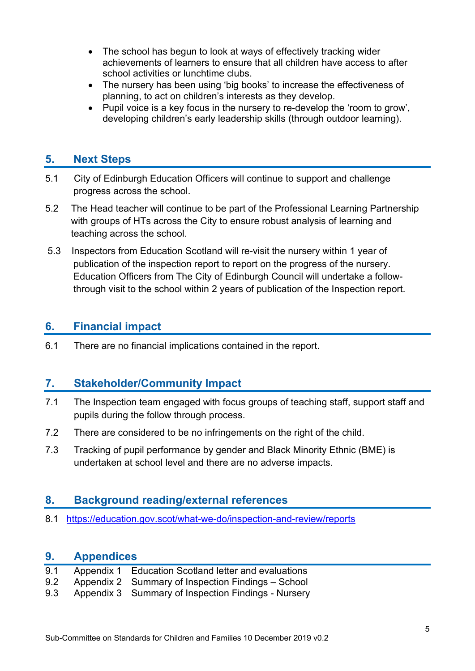- The school has begun to look at ways of effectively tracking wider achievements of learners to ensure that all children have access to after school activities or lunchtime clubs.
- The nursery has been using 'big books' to increase the effectiveness of planning, to act on children's interests as they develop.
- Pupil voice is a key focus in the nursery to re-develop the 'room to grow', developing children's early leadership skills (through outdoor learning).

### **5. Next Steps**

- 5.1 City of Edinburgh Education Officers will continue to support and challenge progress across the school.
- 5.2 The Head teacher will continue to be part of the Professional Learning Partnership with groups of HTs across the City to ensure robust analysis of learning and teaching across the school.
- 5.3 Inspectors from Education Scotland will re-visit the nursery within 1 year of publication of the inspection report to report on the progress of the nursery. Education Officers from The City of Edinburgh Council will undertake a followthrough visit to the school within 2 years of publication of the Inspection report.

### **6. Financial impact**

6.1 There are no financial implications contained in the report.

### **7. Stakeholder/Community Impact**

- 7.1 The Inspection team engaged with focus groups of teaching staff, support staff and pupils during the follow through process.
- 7.2 There are considered to be no infringements on the right of the child.
- 7.3 Tracking of pupil performance by gender and Black Minority Ethnic (BME) is undertaken at school level and there are no adverse impacts.

### **8. Background reading/external references**

8.1 https://education.gov.scot/what-we-do/inspection-and-review/reports

### **9. Appendices**

| 9.1 | Appendix 1 Education Scotland letter and evaluations   |
|-----|--------------------------------------------------------|
|     | 9.2 Appendix 2 Summary of Inspection Findings - School |

9.3 Appendix 3 Summary of Inspection Findings - Nursery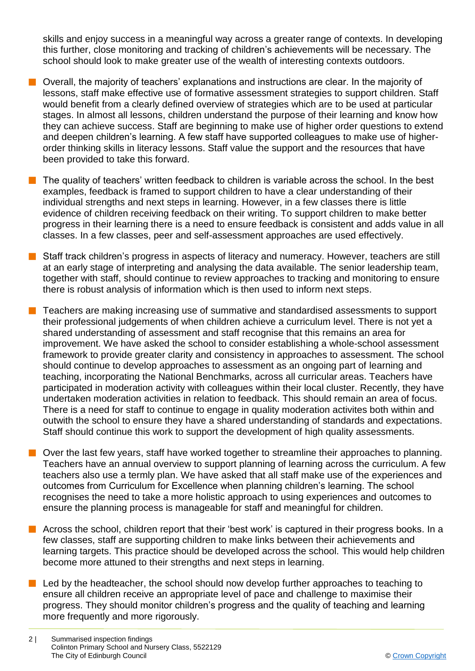skills and enjoy success in a meaningful way across a greater range of contexts. In developing this further, close monitoring and tracking of children's achievements will be necessary. The school should look to make greater use of the wealth of interesting contexts outdoors.

- $\blacksquare$  Overall, the majority of teachers' explanations and instructions are clear. In the majority of lessons, staff make effective use of formative assessment strategies to support children. Staff would benefit from a clearly defined overview of strategies which are to be used at particular stages. In almost all lessons, children understand the purpose of their learning and know how they can achieve success. Staff are beginning to make use of higher order questions to extend and deepen children's learning. A few staff have supported colleagues to make use of higherorder thinking skills in literacy lessons. Staff value the support and the resources that have been provided to take this forward.
- The quality of teachers' written feedback to children is variable across the school. In the best examples, feedback is framed to support children to have a clear understanding of their individual strengths and next steps in learning. However, in a few classes there is little evidence of children receiving feedback on their writing. To support children to make better progress in their learning there is a need to ensure feedback is consistent and adds value in all classes. In a few classes, peer and self-assessment approaches are used effectively.
- Staff track children's progress in aspects of literacy and numeracy. However, teachers are still at an early stage of interpreting and analysing the data available. The senior leadership team, together with staff, should continue to review approaches to tracking and monitoring to ensure there is robust analysis of information which is then used to inform next steps.
- **n** Teachers are making increasing use of summative and standardised assessments to support their professional judgements of when children achieve a curriculum level. There is not yet a shared understanding of assessment and staff recognise that this remains an area for improvement. We have asked the school to consider establishing a whole-school assessment framework to provide greater clarity and consistency in approaches to assessment. The school should continue to develop approaches to assessment as an ongoing part of learning and teaching, incorporating the National Benchmarks, across all curricular areas. Teachers have participated in moderation activity with colleagues within their local cluster. Recently, they have undertaken moderation activities in relation to feedback. This should remain an area of focus. There is a need for staff to continue to engage in quality moderation activites both within and outwith the school to ensure they have a shared understanding of standards and expectations. Staff should continue this work to support the development of high quality assessments.
- $\blacksquare$  Over the last few years, staff have worked together to streamline their approaches to planning. Teachers have an annual overview to support planning of learning across the curriculum. A few teachers also use a termly plan. We have asked that all staff make use of the experiences and outcomes from Curriculum for Excellence when planning children's learning. The school recognises the need to take a more holistic approach to using experiences and outcomes to ensure the planning process is manageable for staff and meaningful for children.
- $\blacksquare$  Across the school, children report that their 'best work' is captured in their progress books. In a few classes, staff are supporting children to make links between their achievements and learning targets. This practice should be developed across the school. This would help children become more attuned to their strengths and next steps in learning.
- Led by the headteacher, the school should now develop further approaches to teaching to ensure all children receive an appropriate level of pace and challenge to maximise their progress. They should monitor children's progress and the quality of teaching and learning more frequently and more rigorously.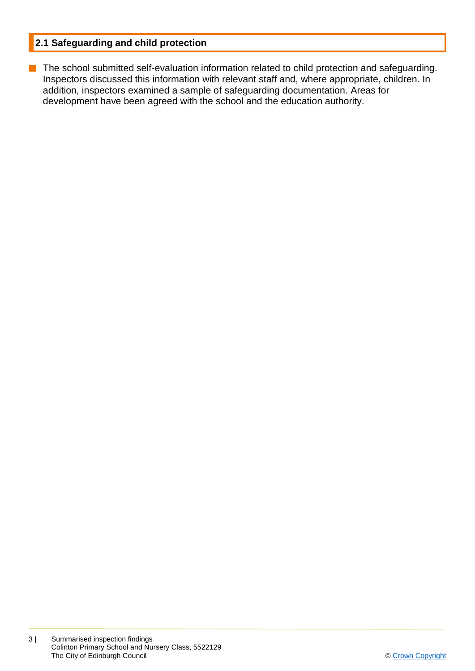### **2.1 Safeguarding and child protection**

**n** The school submitted self-evaluation information related to child protection and safeguarding. Inspectors discussed this information with relevant staff and, where appropriate, children. In addition, inspectors examined a sample of safeguarding documentation. Areas for development have been agreed with the school and the education authority.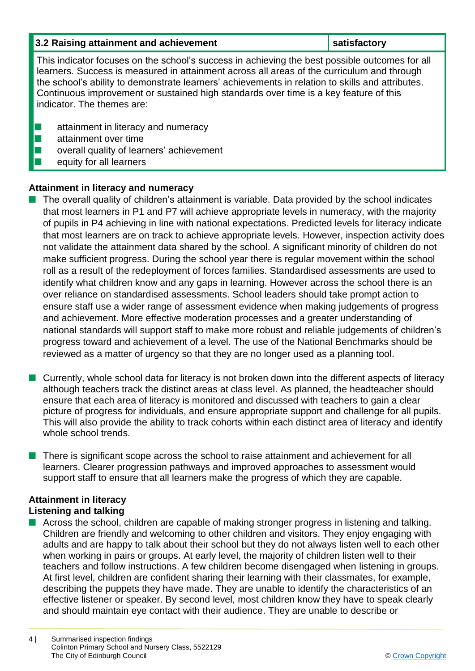| 3.2 Raising attainment and achievement                                                                                                                                                                                                                                                                                                                                                                                  | satisfactory |  |
|-------------------------------------------------------------------------------------------------------------------------------------------------------------------------------------------------------------------------------------------------------------------------------------------------------------------------------------------------------------------------------------------------------------------------|--------------|--|
| This indicator focuses on the school's success in achieving the best possible outcomes for all<br>learners. Success is measured in attainment across all areas of the curriculum and through<br>the school's ability to demonstrate learners' achievements in relation to skills and attributes.<br>Continuous improvement or sustained high standards over time is a key feature of this<br>indicator. The themes are: |              |  |
| attainment in literacy and numeracy<br>attainment over time<br>overall quality of learners' achievement<br>equity for all learners                                                                                                                                                                                                                                                                                      |              |  |

### **Attainment in literacy and numeracy**

- The overall quality of children's attainment is variable. Data provided by the school indicates that most learners in P1 and P7 will achieve appropriate levels in numeracy, with the majority of pupils in P4 achieving in line with national expectations. Predicted levels for literacy indicate that most learners are on track to achieve appropriate levels. However, inspection activity does not validate the attainment data shared by the school. A significant minority of children do not make sufficient progress. During the school year there is regular movement within the school roll as a result of the redeployment of forces families. Standardised assessments are used to identify what children know and any gaps in learning. However across the school there is an over reliance on standardised assessments. School leaders should take prompt action to ensure staff use a wider range of assessment evidence when making judgements of progress and achievement. More effective moderation processes and a greater understanding of national standards will support staff to make more robust and reliable judgements of children's progress toward and achievement of a level. The use of the National Benchmarks should be reviewed as a matter of urgency so that they are no longer used as a planning tool.
- $\blacksquare$  Currently, whole school data for literacy is not broken down into the different aspects of literacy although teachers track the distinct areas at class level. As planned, the headteacher should ensure that each area of literacy is monitored and discussed with teachers to gain a clear picture of progress for individuals, and ensure appropriate support and challenge for all pupils. This will also provide the ability to track cohorts within each distinct area of literacy and identify whole school trends.
- **n** There is significant scope across the school to raise attainment and achievement for all learners. Clearer progression pathways and improved approaches to assessment would support staff to ensure that all learners make the progress of which they are capable.

# **Attainment in literacy**

- **Listening and talking**
- Across the school, children are capable of making stronger progress in listening and talking. Children are friendly and welcoming to other children and visitors. They enjoy engaging with adults and are happy to talk about their school but they do not always listen well to each other when working in pairs or groups. At early level, the majority of children listen well to their teachers and follow instructions. A few children become disengaged when listening in groups. At first level, children are confident sharing their learning with their classmates, for example, describing the puppets they have made. They are unable to identify the characteristics of an effective listener or speaker. By second level, most children know they have to speak clearly and should maintain eye contact with their audience. They are unable to describe or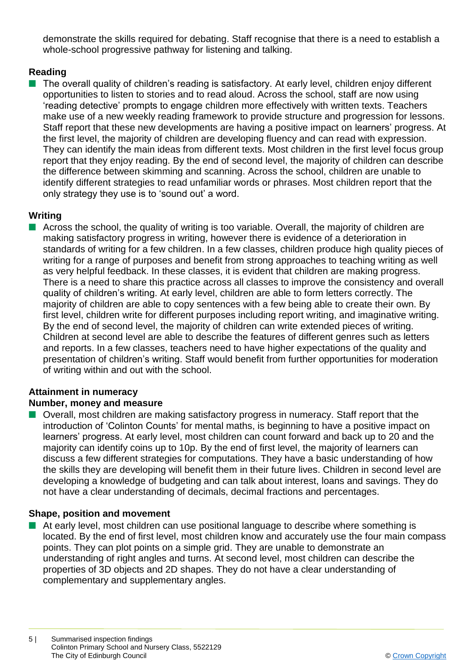demonstrate the skills required for debating. Staff recognise that there is a need to establish a whole-school progressive pathway for listening and talking.

### **Reading**

■ The overall quality of children's reading is satisfactory. At early level, children enjoy different opportunities to listen to stories and to read aloud. Across the school, staff are now using 'reading detective' prompts to engage children more effectively with written texts. Teachers make use of a new weekly reading framework to provide structure and progression for lessons. Staff report that these new developments are having a positive impact on learners' progress. At the first level, the majority of children are developing fluency and can read with expression. They can identify the main ideas from different texts. Most children in the first level focus group report that they enjoy reading. By the end of second level, the majority of children can describe the difference between skimming and scanning. Across the school, children are unable to identify different strategies to read unfamiliar words or phrases. Most children report that the only strategy they use is to 'sound out' a word.

#### **Writing**

 $\blacksquare$  Across the school, the quality of writing is too variable. Overall, the majority of children are making satisfactory progress in writing, however there is evidence of a deterioration in standards of writing for a few children. In a few classes, children produce high quality pieces of writing for a range of purposes and benefit from strong approaches to teaching writing as well as very helpful feedback. In these classes, it is evident that children are making progress. There is a need to share this practice across all classes to improve the consistency and overall quality of children's writing. At early level, children are able to form letters correctly. The majority of children are able to copy sentences with a few being able to create their own. By first level, children write for different purposes including report writing, and imaginative writing. By the end of second level, the majority of children can write extended pieces of writing. Children at second level are able to describe the features of different genres such as letters and reports. In a few classes, teachers need to have higher expectations of the quality and presentation of children's writing. Staff would benefit from further opportunities for moderation of writing within and out with the school.

### **Attainment in numeracy**

### **Number, money and measure**

■ Overall, most children are making satisfactory progress in numeracy. Staff report that the introduction of 'Colinton Counts' for mental maths, is beginning to have a positive impact on learners' progress. At early level, most children can count forward and back up to 20 and the majority can identify coins up to 10p. By the end of first level, the majority of learners can discuss a few different strategies for computations. They have a basic understanding of how the skills they are developing will benefit them in their future lives. Children in second level are developing a knowledge of budgeting and can talk about interest, loans and savings. They do not have a clear understanding of decimals, decimal fractions and percentages.

#### **Shape, position and movement**

 $\blacksquare$  At early level, most children can use positional language to describe where something is located. By the end of first level, most children know and accurately use the four main compass points. They can plot points on a simple grid. They are unable to demonstrate an understanding of right angles and turns. At second level, most children can describe the properties of 3D objects and 2D shapes. They do not have a clear understanding of complementary and supplementary angles.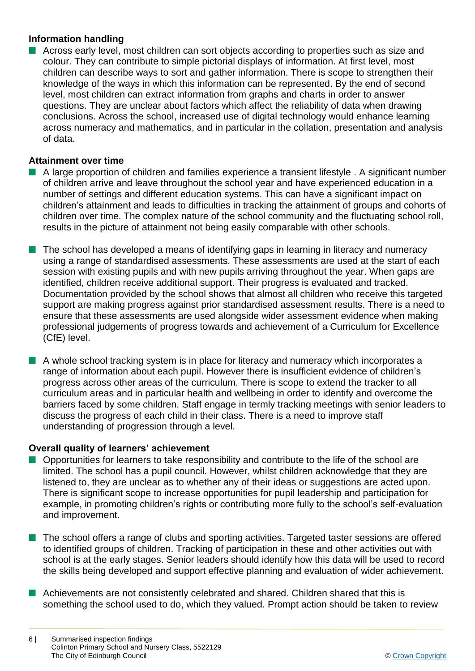### **Information handling**

■ Across early level, most children can sort objects according to properties such as size and colour. They can contribute to simple pictorial displays of information. At first level, most children can describe ways to sort and gather information. There is scope to strengthen their knowledge of the ways in which this information can be represented. By the end of second level, most children can extract information from graphs and charts in order to answer questions. They are unclear about factors which affect the reliability of data when drawing conclusions. Across the school, increased use of digital technology would enhance learning across numeracy and mathematics, and in particular in the collation, presentation and analysis of data.

#### **Attainment over time**

- n A large proportion of children and families experience a transient lifestyle . A significant number of children arrive and leave throughout the school year and have experienced education in a number of settings and different education systems. This can have a significant impact on children's attainment and leads to difficulties in tracking the attainment of groups and cohorts of children over time. The complex nature of the school community and the fluctuating school roll, results in the picture of attainment not being easily comparable with other schools.
- $\blacksquare$  The school has developed a means of identifying gaps in learning in literacy and numeracy using a range of standardised assessments. These assessments are used at the start of each session with existing pupils and with new pupils arriving throughout the year. When gaps are identified, children receive additional support. Their progress is evaluated and tracked. Documentation provided by the school shows that almost all children who receive this targeted support are making progress against prior standardised assessment results. There is a need to ensure that these assessments are used alongside wider assessment evidence when making professional judgements of progress towards and achievement of a Curriculum for Excellence (CfE) level.
- $\blacksquare$  A whole school tracking system is in place for literacy and numeracy which incorporates a range of information about each pupil. However there is insufficient evidence of children's progress across other areas of the curriculum. There is scope to extend the tracker to all curriculum areas and in particular health and wellbeing in order to identify and overcome the barriers faced by some children. Staff engage in termly tracking meetings with senior leaders to discuss the progress of each child in their class. There is a need to improve staff understanding of progression through a level.

#### **Overall quality of learners' achievement**

- $\blacksquare$  Opportunities for learners to take responsibility and contribute to the life of the school are limited. The school has a pupil council. However, whilst children acknowledge that they are listened to, they are unclear as to whether any of their ideas or suggestions are acted upon. There is significant scope to increase opportunities for pupil leadership and participation for example, in promoting children's rights or contributing more fully to the school's self-evaluation and improvement.
- The school offers a range of clubs and sporting activities. Targeted taster sessions are offered to identified groups of children. Tracking of participation in these and other activities out with school is at the early stages. Senior leaders should identify how this data will be used to record the skills being developed and support effective planning and evaluation of wider achievement.
- Achievements are not consistently celebrated and shared. Children shared that this is something the school used to do, which they valued. Prompt action should be taken to review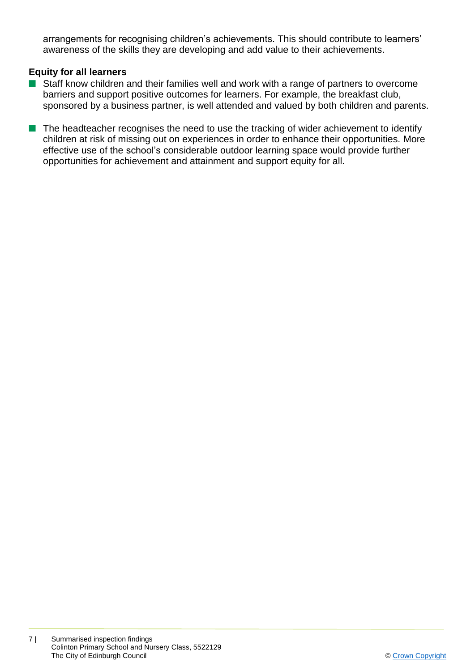arrangements for recognising children's achievements. This should contribute to learners' awareness of the skills they are developing and add value to their achievements.

### **Equity for all learners**

- Staff know children and their families well and work with a range of partners to overcome barriers and support positive outcomes for learners. For example, the breakfast club, sponsored by a business partner, is well attended and valued by both children and parents.
- $\blacksquare$  The headteacher recognises the need to use the tracking of wider achievement to identify children at risk of missing out on experiences in order to enhance their opportunities. More effective use of the school's considerable outdoor learning space would provide further opportunities for achievement and attainment and support equity for all.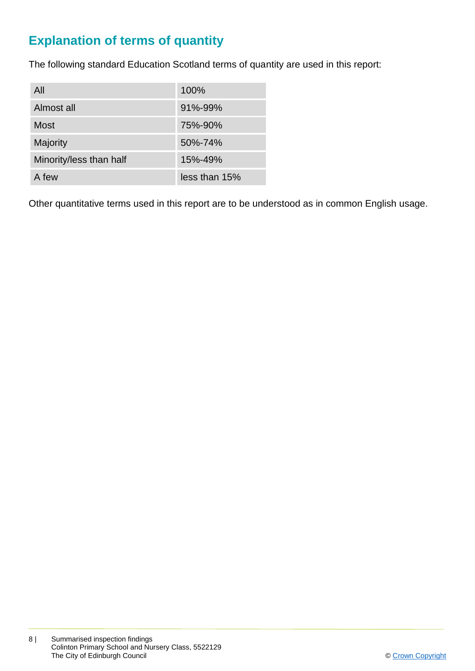# **Explanation of terms of quantity**

The following standard Education Scotland terms of quantity are used in this report:

| All                     | 100%          |
|-------------------------|---------------|
| Almost all              | $91\% - 99\%$ |
| <b>Most</b>             | 75%-90%       |
| Majority                | 50%-74%       |
| Minority/less than half | 15%-49%       |
| A few                   | less than 15% |

Other quantitative terms used in this report are to be understood as in common English usage.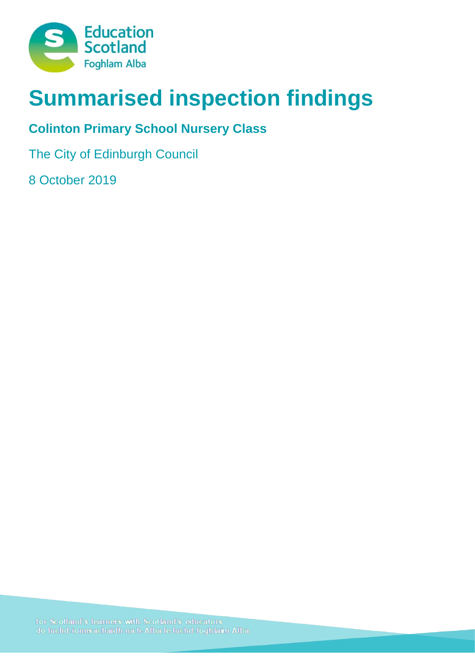

# **Summarised inspection findings**

# **Colinton Primary School Nursery Class**

The City of Edinburgh Council

8 October 2019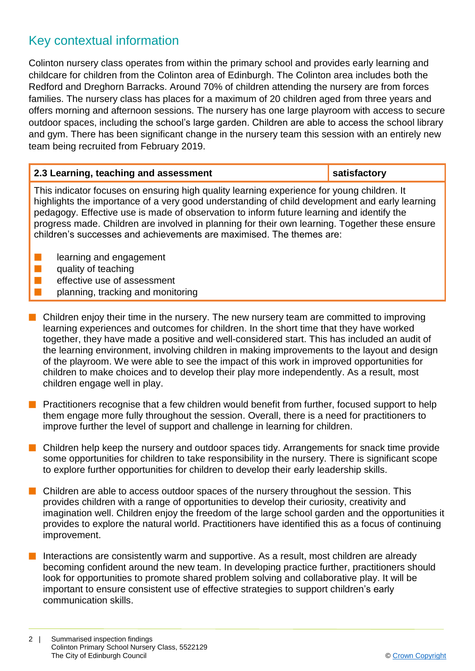# Key contextual information

Colinton nursery class operates from within the primary school and provides early learning and childcare for children from the Colinton area of Edinburgh. The Colinton area includes both the Redford and Dreghorn Barracks. Around 70% of children attending the nursery are from forces families. The nursery class has places for a maximum of 20 children aged from three years and offers morning and afternoon sessions. The nursery has one large playroom with access to secure outdoor spaces, including the school's large garden. Children are able to access the school library and gym. There has been significant change in the nursery team this session with an entirely new team being recruited from February 2019.

| 2.3 Learning, teaching and assessment                                                                                                                                                                                                                                                                                                                                                                                                                               | satisfactory |
|---------------------------------------------------------------------------------------------------------------------------------------------------------------------------------------------------------------------------------------------------------------------------------------------------------------------------------------------------------------------------------------------------------------------------------------------------------------------|--------------|
| This indicator focuses on ensuring high quality learning experience for young children. It<br>highlights the importance of a very good understanding of child development and early learning<br>pedagogy. Effective use is made of observation to inform future learning and identify the<br>progress made. Children are involved in planning for their own learning. Together these ensure<br>children's successes and achievements are maximised. The themes are: |              |

- learning and engagement
- quality of teaching
- effective use of assessment
- n planning, tracking and monitoring
- $\blacksquare$  Children enjoy their time in the nursery. The new nursery team are committed to improving learning experiences and outcomes for children. In the short time that they have worked together, they have made a positive and well-considered start. This has included an audit of the learning environment, involving children in making improvements to the layout and design of the playroom. We were able to see the impact of this work in improved opportunities for children to make choices and to develop their play more independently. As a result, most children engage well in play.
- Practitioners recognise that a few children would benefit from further, focused support to help them engage more fully throughout the session. Overall, there is a need for practitioners to improve further the level of support and challenge in learning for children.
- $\blacksquare$  Children help keep the nursery and outdoor spaces tidy. Arrangements for snack time provide some opportunities for children to take responsibility in the nursery. There is significant scope to explore further opportunities for children to develop their early leadership skills.
- $\blacksquare$  Children are able to access outdoor spaces of the nursery throughout the session. This provides children with a range of opportunities to develop their curiosity, creativity and imagination well. Children enjoy the freedom of the large school garden and the opportunities it provides to explore the natural world. Practitioners have identified this as a focus of continuing improvement.
- Interactions are consistently warm and supportive. As a result, most children are already becoming confident around the new team. In developing practice further, practitioners should look for opportunities to promote shared problem solving and collaborative play. It will be important to ensure consistent use of effective strategies to support children's early communication skills.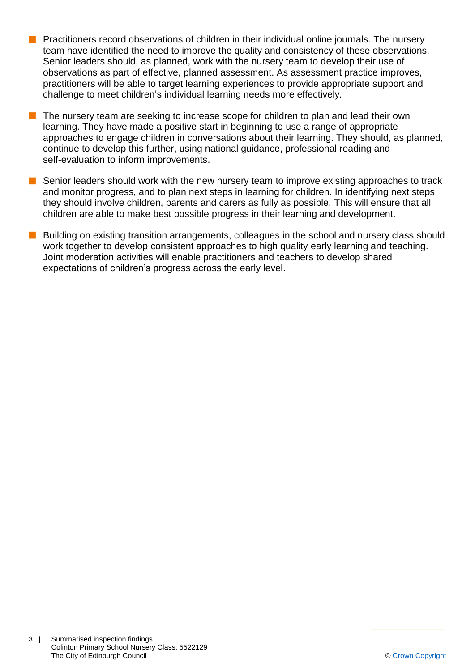- **n** Practitioners record observations of children in their individual online journals. The nursery team have identified the need to improve the quality and consistency of these observations. Senior leaders should, as planned, work with the nursery team to develop their use of observations as part of effective, planned assessment. As assessment practice improves, practitioners will be able to target learning experiences to provide appropriate support and challenge to meet children's individual learning needs more effectively.
- $\blacksquare$  The nursery team are seeking to increase scope for children to plan and lead their own learning. They have made a positive start in beginning to use a range of appropriate approaches to engage children in conversations about their learning. They should, as planned, continue to develop this further, using national guidance, professional reading and self-evaluation to inform improvements.
- Senior leaders should work with the new nursery team to improve existing approaches to track and monitor progress, and to plan next steps in learning for children. In identifying next steps, they should involve children, parents and carers as fully as possible. This will ensure that all children are able to make best possible progress in their learning and development.
- Building on existing transition arrangements, colleagues in the school and nursery class should work together to develop consistent approaches to high quality early learning and teaching. Joint moderation activities will enable practitioners and teachers to develop shared expectations of children's progress across the early level.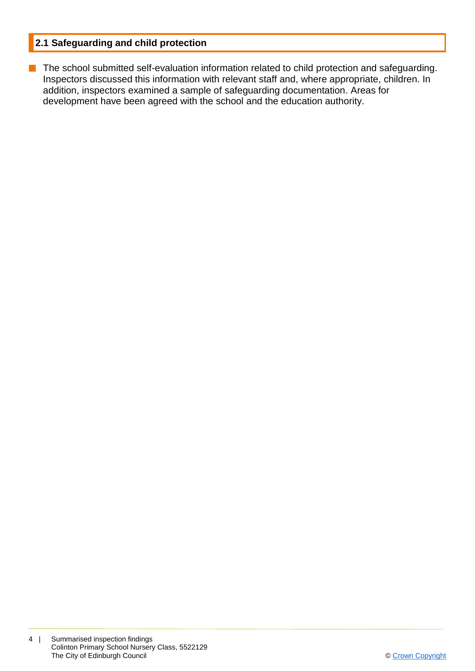### **2.1 Safeguarding and child protection**

**n** The school submitted self-evaluation information related to child protection and safeguarding. Inspectors discussed this information with relevant staff and, where appropriate, children. In addition, inspectors examined a sample of safeguarding documentation. Areas for development have been agreed with the school and the education authority.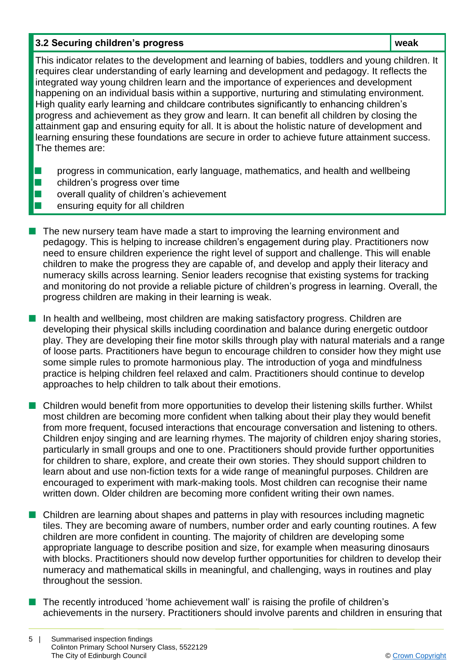### **3.2 Securing children's progress weak**

This indicator relates to the development and learning of babies, toddlers and young children. It requires clear understanding of early learning and development and pedagogy. It reflects the integrated way young children learn and the importance of experiences and development happening on an individual basis within a supportive, nurturing and stimulating environment. High quality early learning and childcare contributes significantly to enhancing children's progress and achievement as they grow and learn. It can benefit all children by closing the attainment gap and ensuring equity for all. It is about the holistic nature of development and learning ensuring these foundations are secure in order to achieve future attainment success. The themes are:

- **n** progress in communication, early language, mathematics, and health and wellbeing
- $\blacksquare$  children's progress over time
	- overall quality of children's achievement
	- n ensuring equity for all children
- $\blacksquare$  The new nursery team have made a start to improving the learning environment and pedagogy. This is helping to increase children's engagement during play. Practitioners now need to ensure children experience the right level of support and challenge. This will enable children to make the progress they are capable of, and develop and apply their literacy and numeracy skills across learning. Senior leaders recognise that existing systems for tracking and monitoring do not provide a reliable picture of children's progress in learning. Overall, the progress children are making in their learning is weak.
- **n** In health and wellbeing, most children are making satisfactory progress. Children are developing their physical skills including coordination and balance during energetic outdoor play. They are developing their fine motor skills through play with natural materials and a range of loose parts. Practitioners have begun to encourage children to consider how they might use some simple rules to promote harmonious play. The introduction of yoga and mindfulness practice is helping children feel relaxed and calm. Practitioners should continue to develop approaches to help children to talk about their emotions.
- Children would benefit from more opportunities to develop their listening skills further. Whilst most children are becoming more confident when talking about their play they would benefit from more frequent, focused interactions that encourage conversation and listening to others. Children enjoy singing and are learning rhymes. The majority of children enjoy sharing stories, particularly in small groups and one to one. Practitioners should provide further opportunities for children to share, explore, and create their own stories. They should support children to learn about and use non-fiction texts for a wide range of meaningful purposes. Children are encouraged to experiment with mark-making tools. Most children can recognise their name written down. Older children are becoming more confident writing their own names.
- **n** Children are learning about shapes and patterns in play with resources including magnetic tiles. They are becoming aware of numbers, number order and early counting routines. A few children are more confident in counting. The majority of children are developing some appropriate language to describe position and size, for example when measuring dinosaurs with blocks. Practitioners should now develop further opportunities for children to develop their numeracy and mathematical skills in meaningful, and challenging, ways in routines and play throughout the session.
- The recently introduced 'home achievement wall' is raising the profile of children's achievements in the nursery. Practitioners should involve parents and children in ensuring that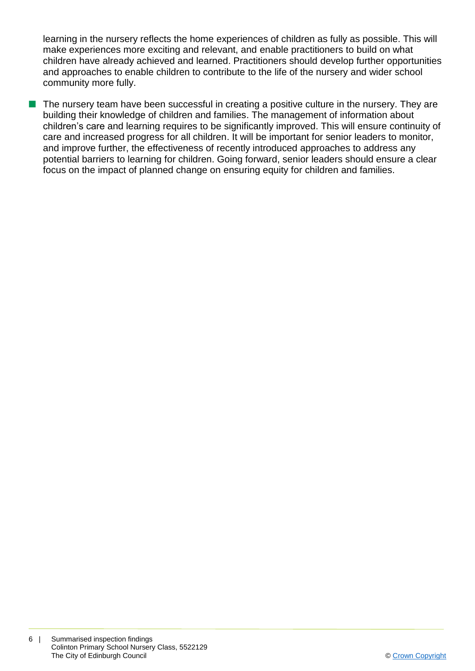learning in the nursery reflects the home experiences of children as fully as possible. This will make experiences more exciting and relevant, and enable practitioners to build on what children have already achieved and learned. Practitioners should develop further opportunities and approaches to enable children to contribute to the life of the nursery and wider school community more fully.

 $\blacksquare$  The nursery team have been successful in creating a positive culture in the nursery. They are building their knowledge of children and families. The management of information about children's care and learning requires to be significantly improved. This will ensure continuity of care and increased progress for all children. It will be important for senior leaders to monitor, and improve further, the effectiveness of recently introduced approaches to address any potential barriers to learning for children. Going forward, senior leaders should ensure a clear focus on the impact of planned change on ensuring equity for children and families.